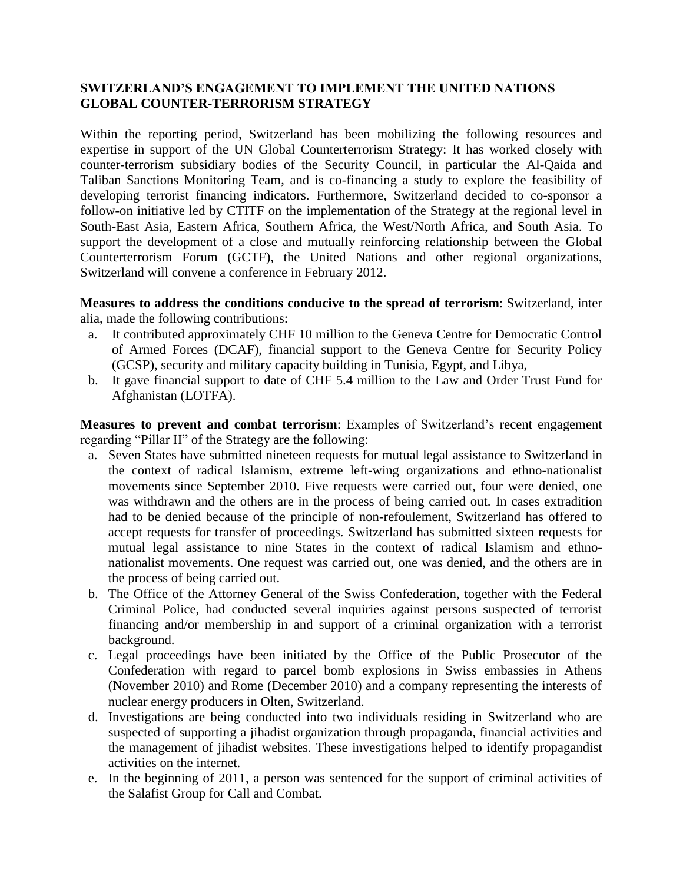## **SWITZERLAND'S ENGAGEMENT TO IMPLEMENT THE UNITED NATIONS GLOBAL COUNTER-TERRORISM STRATEGY**

Within the reporting period, Switzerland has been mobilizing the following resources and expertise in support of the UN Global Counterterrorism Strategy: It has worked closely with counter-terrorism subsidiary bodies of the Security Council, in particular the Al-Qaida and Taliban Sanctions Monitoring Team, and is co-financing a study to explore the feasibility of developing terrorist financing indicators. Furthermore, Switzerland decided to co-sponsor a follow-on initiative led by CTITF on the implementation of the Strategy at the regional level in South-East Asia, Eastern Africa, Southern Africa, the West/North Africa, and South Asia. To support the development of a close and mutually reinforcing relationship between the Global Counterterrorism Forum (GCTF), the United Nations and other regional organizations, Switzerland will convene a conference in February 2012.

**Measures to address the conditions conducive to the spread of terrorism**: Switzerland, inter alia, made the following contributions:

- a. It contributed approximately CHF 10 million to the Geneva Centre for Democratic Control of Armed Forces (DCAF), financial support to the Geneva Centre for Security Policy (GCSP), security and military capacity building in Tunisia, Egypt, and Libya,
- b. It gave financial support to date of CHF 5.4 million to the Law and Order Trust Fund for Afghanistan (LOTFA).

**Measures to prevent and combat terrorism**: Examples of Switzerland's recent engagement regarding "Pillar II" of the Strategy are the following:

- a. Seven States have submitted nineteen requests for mutual legal assistance to Switzerland in the context of radical Islamism, extreme left-wing organizations and ethno-nationalist movements since September 2010. Five requests were carried out, four were denied, one was withdrawn and the others are in the process of being carried out. In cases extradition had to be denied because of the principle of non-refoulement, Switzerland has offered to accept requests for transfer of proceedings. Switzerland has submitted sixteen requests for mutual legal assistance to nine States in the context of radical Islamism and ethnonationalist movements. One request was carried out, one was denied, and the others are in the process of being carried out.
- b. The Office of the Attorney General of the Swiss Confederation, together with the Federal Criminal Police, had conducted several inquiries against persons suspected of terrorist financing and/or membership in and support of a criminal organization with a terrorist background.
- c. Legal proceedings have been initiated by the Office of the Public Prosecutor of the Confederation with regard to parcel bomb explosions in Swiss embassies in Athens (November 2010) and Rome (December 2010) and a company representing the interests of nuclear energy producers in Olten, Switzerland.
- d. Investigations are being conducted into two individuals residing in Switzerland who are suspected of supporting a jihadist organization through propaganda, financial activities and the management of jihadist websites. These investigations helped to identify propagandist activities on the internet.
- e. In the beginning of 2011, a person was sentenced for the support of criminal activities of the Salafist Group for Call and Combat.